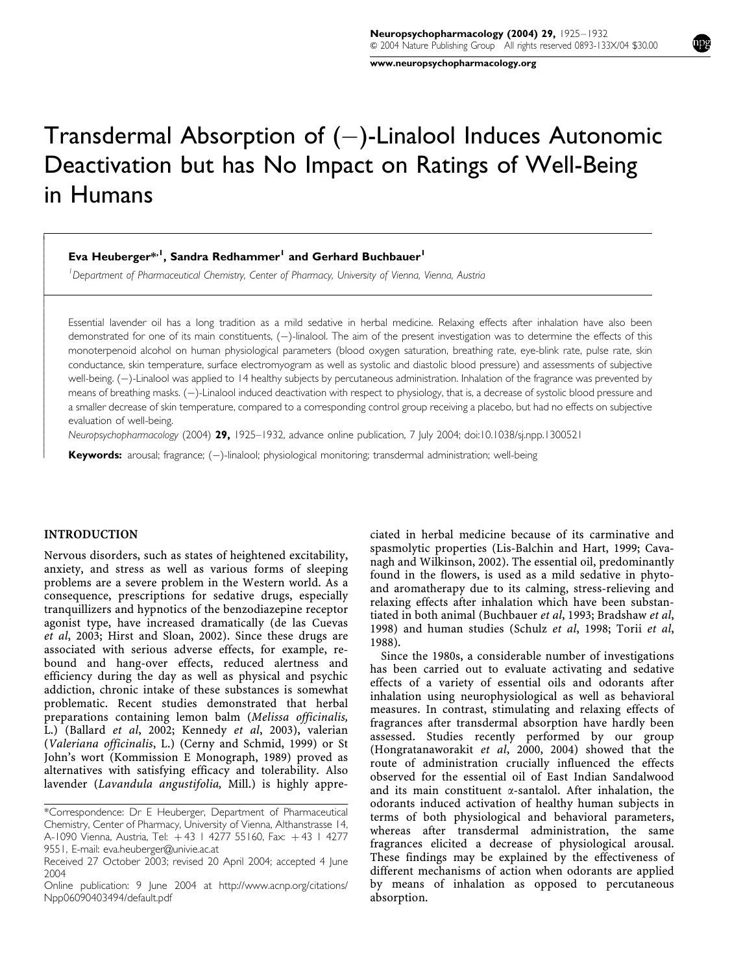www.neuropsychopharmacology.org

# Transdermal Absorption of  $(-)$ -Linalool Induces Autonomic Deactivation but has No Impact on Ratings of Well-Being in Humans

Eva Heuberger\*<sup>,1</sup>, Sandra Redhammer<sup>1</sup> and Gerhard Buchbauer<sup>1</sup>

<sup>1</sup> Department of Pharmaceutical Chemistry, Center of Pharmacy, University of Vienna, Vienna, Austria

Essential lavender oil has a long tradition as a mild sedative in herbal medicine. Relaxing effects after inhalation have also been demonstrated for one of its main constituents, (-)-linalool. The aim of the present investigation was to determine the effects of this monoterpenoid alcohol on human physiological parameters (blood oxygen saturation, breathing rate, eye-blink rate, pulse rate, skin conductance, skin temperature, surface electromyogram as well as systolic and diastolic blood pressure) and assessments of subjective well-being. (-)-Linalool was applied to 14 healthy subjects by percutaneous administration. Inhalation of the fragrance was prevented by means of breathing masks. (-)-Linalool induced deactivation with respect to physiology, that is, a decrease of systolic blood pressure and a smaller decrease of skin temperature, compared to a corresponding control group receiving a placebo, but had no effects on subjective evaluation of well-being.

Neuropsychopharmacology (2004) 29, 1925–1932, advance online publication, 7 July 2004; doi:10.1038/sj.npp.1300521

Keywords: arousal; fragrance; (-)-linalool; physiological monitoring; transdermal administration; well-being

# INTRODUCTION

ŗ  $\overline{1}$  $\overline{1}$  $\bigg\}$  $\overline{\phantom{a}}$  $\overline{\phantom{a}}$  $\overline{\phantom{a}}$  $\bigg\}$  $\bigg\}$  $\overline{\phantom{a}}$ ł  $\overline{\phantom{a}}$  $\overline{\phantom{a}}$  $\bigg\}$  $\bigg\}$  $\overline{\phantom{a}}$  $\overline{\phantom{a}}$  $\overline{\phantom{a}}$  $\overline{\phantom{a}}$  $\bigg\}$  $\bigg\}$  $\overline{\phantom{a}}$  $\overline{\phantom{a}}$  $\overline{\phantom{a}}$  $\bigg\}$  $\bigg\}$  $\overline{\phantom{a}}$  $\overline{\phantom{a}}$  $\overline{\phantom{a}}$  $\overline{\phantom{a}}$  $\bigg\}$  $\overline{\phantom{a}}$  $\overline{\phantom{a}}$  $\overline{\phantom{a}}$  $\overline{\phantom{a}}$ 

Nervous disorders, such as states of heightened excitability, anxiety, and stress as well as various forms of sleeping problems are a severe problem in the Western world. As a consequence, prescriptions for sedative drugs, especially tranquillizers and hypnotics of the benzodiazepine receptor agonist type, have increased dramatically (de las Cuevas et al, 2003; Hirst and Sloan, 2002). Since these drugs are associated with serious adverse effects, for example, rebound and hang-over effects, reduced alertness and efficiency during the day as well as physical and psychic addiction, chronic intake of these substances is somewhat problematic. Recent studies demonstrated that herbal preparations containing lemon balm (Melissa officinalis, L.) (Ballard et al, 2002; Kennedy et al, 2003), valerian (Valeriana officinalis, L.) (Cerny and Schmid, 1999) or St John's wort (Kommission E Monograph, 1989) proved as alternatives with satisfying efficacy and tolerability. Also lavender (Lavandula angustifolia, Mill.) is highly appreciated in herbal medicine because of its carminative and spasmolytic properties (Lis-Balchin and Hart, 1999; Cavanagh and Wilkinson, 2002). The essential oil, predominantly found in the flowers, is used as a mild sedative in phytoand aromatherapy due to its calming, stress-relieving and relaxing effects after inhalation which have been substantiated in both animal (Buchbauer et al, 1993; Bradshaw et al, 1998) and human studies (Schulz et al, 1998; Torii et al, 1988).

Since the 1980s, a considerable number of investigations has been carried out to evaluate activating and sedative effects of a variety of essential oils and odorants after inhalation using neurophysiological as well as behavioral measures. In contrast, stimulating and relaxing effects of fragrances after transdermal absorption have hardly been assessed. Studies recently performed by our group (Hongratanaworakit et al, 2000, 2004) showed that the route of administration crucially influenced the effects observed for the essential oil of East Indian Sandalwood and its main constituent  $\alpha$ -santalol. After inhalation, the odorants induced activation of healthy human subjects in terms of both physiological and behavioral parameters, whereas after transdermal administration, the same fragrances elicited a decrease of physiological arousal. These findings may be explained by the effectiveness of different mechanisms of action when odorants are applied by means of inhalation as opposed to percutaneous absorption.

<sup>\*</sup>Correspondence: Dr E Heuberger, Department of Pharmaceutical Chemistry, Center of Pharmacy, University of Vienna, Althanstrasse 14, A-1090 Vienna, Austria, Tel: +43 1 4277 55160, Fax: +43 1 4277 9551, E-mail: eva.heuberger@univie.ac.at

Received 27 October 2003; revised 20 April 2004; accepted 4 June 2004

Online publication: 9 June 2004 at http://www.acnp.org/citations/ Npp06090403494/default.pdf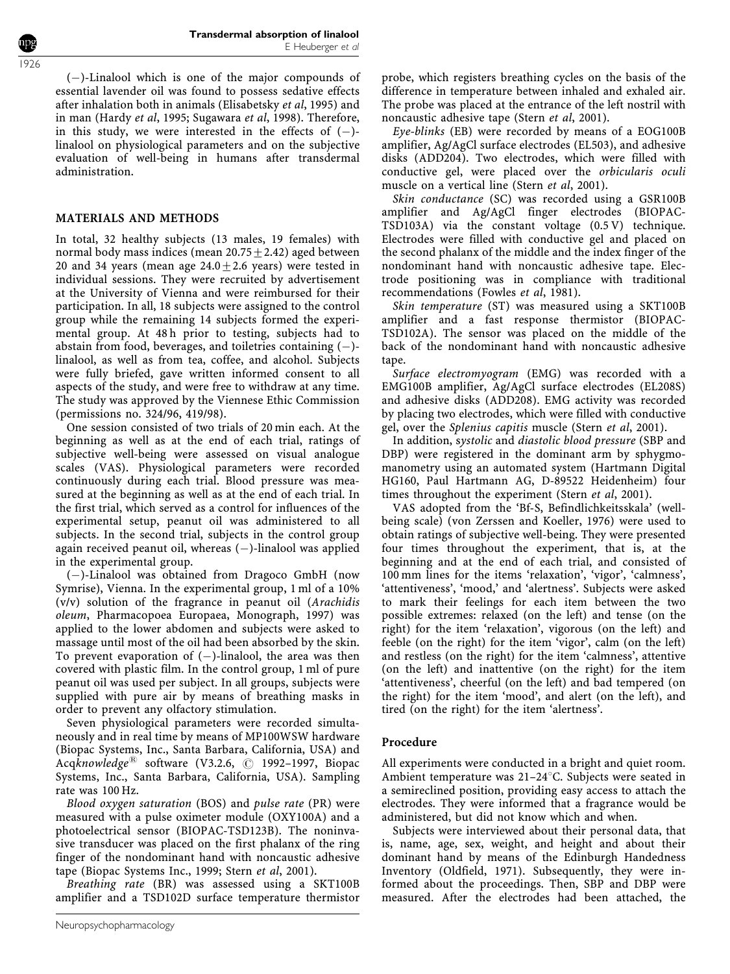$(-)$ -Linalool which is one of the major compounds of essential lavender oil was found to possess sedative effects after inhalation both in animals (Elisabetsky et al, 1995) and in man (Hardy et al, 1995; Sugawara et al, 1998). Therefore, in this study, we were interested in the effects of  $(-)$ linalool on physiological parameters and on the subjective evaluation of well-being in humans after transdermal administration.

# MATERIALS AND METHODS

In total, 32 healthy subjects (13 males, 19 females) with normal body mass indices (mean  $20.75 \pm 2.42$ ) aged between 20 and 34 years (mean age  $24.0+2.6$  years) were tested in individual sessions. They were recruited by advertisement at the University of Vienna and were reimbursed for their participation. In all, 18 subjects were assigned to the control group while the remaining 14 subjects formed the experimental group. At 48 h prior to testing, subjects had to abstain from food, beverages, and toiletries containing  $(-)$ linalool, as well as from tea, coffee, and alcohol. Subjects were fully briefed, gave written informed consent to all aspects of the study, and were free to withdraw at any time. The study was approved by the Viennese Ethic Commission (permissions no. 324/96, 419/98).

One session consisted of two trials of 20 min each. At the beginning as well as at the end of each trial, ratings of subjective well-being were assessed on visual analogue scales (VAS). Physiological parameters were recorded continuously during each trial. Blood pressure was measured at the beginning as well as at the end of each trial. In the first trial, which served as a control for influences of the experimental setup, peanut oil was administered to all subjects. In the second trial, subjects in the control group again received peanut oil, whereas  $(-)$ -linalool was applied in the experimental group.

 $(-)$ -Linalool was obtained from Dragoco GmbH (now Symrise), Vienna. In the experimental group, 1 ml of a 10% (v/v) solution of the fragrance in peanut oil (Arachidis oleum, Pharmacopoea Europaea, Monograph, 1997) was applied to the lower abdomen and subjects were asked to massage until most of the oil had been absorbed by the skin. To prevent evaporation of  $(-)$ -linalool, the area was then covered with plastic film. In the control group, 1 ml of pure peanut oil was used per subject. In all groups, subjects were supplied with pure air by means of breathing masks in order to prevent any olfactory stimulation.

Seven physiological parameters were recorded simultaneously and in real time by means of MP100WSW hardware (Biopac Systems, Inc., Santa Barbara, California, USA) and Acqknowledge<sup> $\text{B}$ </sup> software (V3.2.6,  $\textcircled{c}$  1992–1997, Biopac Systems, Inc., Santa Barbara, California, USA). Sampling rate was 100 Hz.

Blood oxygen saturation (BOS) and pulse rate (PR) were measured with a pulse oximeter module (OXY100A) and a photoelectrical sensor (BIOPAC-TSD123B). The noninvasive transducer was placed on the first phalanx of the ring finger of the nondominant hand with noncaustic adhesive tape (Biopac Systems Inc., 1999; Stern et al, 2001).

Breathing rate (BR) was assessed using a SKT100B amplifier and a TSD102D surface temperature thermistor probe, which registers breathing cycles on the basis of the difference in temperature between inhaled and exhaled air. The probe was placed at the entrance of the left nostril with noncaustic adhesive tape (Stern et al, 2001).

Eye-blinks (EB) were recorded by means of a EOG100B amplifier, Ag/AgCl surface electrodes (EL503), and adhesive disks (ADD204). Two electrodes, which were filled with conductive gel, were placed over the orbicularis oculi muscle on a vertical line (Stern et al, 2001).

Skin conductance (SC) was recorded using a GSR100B amplifier and Ag/AgCl finger electrodes (BIOPAC-TSD103A) via the constant voltage (0.5 V) technique. Electrodes were filled with conductive gel and placed on the second phalanx of the middle and the index finger of the nondominant hand with noncaustic adhesive tape. Electrode positioning was in compliance with traditional recommendations (Fowles et al, 1981).

Skin temperature (ST) was measured using a SKT100B amplifier and a fast response thermistor (BIOPAC-TSD102A). The sensor was placed on the middle of the back of the nondominant hand with noncaustic adhesive tape.

Surface electromyogram (EMG) was recorded with a EMG100B amplifier, Ag/AgCl surface electrodes (EL208S) and adhesive disks (ADD208). EMG activity was recorded by placing two electrodes, which were filled with conductive gel, over the Splenius capitis muscle (Stern et al, 2001).

In addition, systolic and diastolic blood pressure (SBP and DBP) were registered in the dominant arm by sphygmomanometry using an automated system (Hartmann Digital HG160, Paul Hartmann AG, D-89522 Heidenheim) four times throughout the experiment (Stern et al, 2001).

VAS adopted from the 'Bf-S, Befindlichkeitsskala' (wellbeing scale) (von Zerssen and Koeller, 1976) were used to obtain ratings of subjective well-being. They were presented four times throughout the experiment, that is, at the beginning and at the end of each trial, and consisted of 100 mm lines for the items 'relaxation', 'vigor', 'calmness', 'attentiveness', 'mood,' and 'alertness'. Subjects were asked to mark their feelings for each item between the two possible extremes: relaxed (on the left) and tense (on the right) for the item 'relaxation', vigorous (on the left) and feeble (on the right) for the item 'vigor', calm (on the left) and restless (on the right) for the item 'calmness', attentive (on the left) and inattentive (on the right) for the item 'attentiveness', cheerful (on the left) and bad tempered (on the right) for the item 'mood', and alert (on the left), and tired (on the right) for the item 'alertness'.

# Procedure

All experiments were conducted in a bright and quiet room. Ambient temperature was  $21-24^{\circ}$ C. Subjects were seated in a semireclined position, providing easy access to attach the electrodes. They were informed that a fragrance would be administered, but did not know which and when.

Subjects were interviewed about their personal data, that is, name, age, sex, weight, and height and about their dominant hand by means of the Edinburgh Handedness Inventory (Oldfield, 1971). Subsequently, they were informed about the proceedings. Then, SBP and DBP were measured. After the electrodes had been attached, the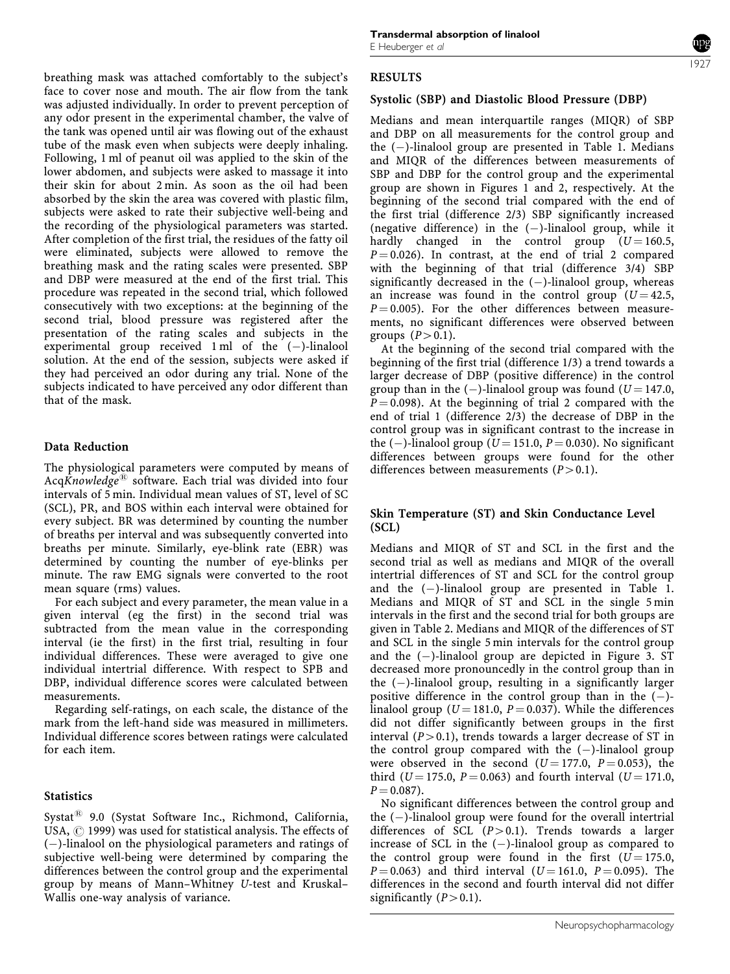breathing mask was attached comfortably to the subject's face to cover nose and mouth. The air flow from the tank was adjusted individually. In order to prevent perception of any odor present in the experimental chamber, the valve of the tank was opened until air was flowing out of the exhaust tube of the mask even when subjects were deeply inhaling. Following, 1 ml of peanut oil was applied to the skin of the lower abdomen, and subjects were asked to massage it into their skin for about 2 min. As soon as the oil had been absorbed by the skin the area was covered with plastic film, subjects were asked to rate their subjective well-being and the recording of the physiological parameters was started. After completion of the first trial, the residues of the fatty oil were eliminated, subjects were allowed to remove the breathing mask and the rating scales were presented. SBP and DBP were measured at the end of the first trial. This procedure was repeated in the second trial, which followed consecutively with two exceptions: at the beginning of the second trial, blood pressure was registered after the presentation of the rating scales and subjects in the experimental group received 1 ml of the  $(-)$ -linalool solution. At the end of the session, subjects were asked if they had perceived an odor during any trial. None of the subjects indicated to have perceived any odor different than that of the mask.

#### Data Reduction

The physiological parameters were computed by means of AcqKnowledge<sup>®</sup> software. Each trial was divided into four intervals of 5 min. Individual mean values of ST, level of SC (SCL), PR, and BOS within each interval were obtained for every subject. BR was determined by counting the number of breaths per interval and was subsequently converted into breaths per minute. Similarly, eye-blink rate (EBR) was determined by counting the number of eye-blinks per minute. The raw EMG signals were converted to the root mean square (rms) values.

For each subject and every parameter, the mean value in a given interval (eg the first) in the second trial was subtracted from the mean value in the corresponding interval (ie the first) in the first trial, resulting in four individual differences. These were averaged to give one individual intertrial difference. With respect to SPB and DBP, individual difference scores were calculated between measurements.

Regarding self-ratings, on each scale, the distance of the mark from the left-hand side was measured in millimeters. Individual difference scores between ratings were calculated for each item.

#### **Statistics**

Systat<sup>®</sup> 9.0 (Systat Software Inc., Richmond, California, USA,  $\odot$  1999) was used for statistical analysis. The effects of  $(-)$ -linalool on the physiological parameters and ratings of subjective well-being were determined by comparing the differences between the control group and the experimental group by means of Mann–Whitney U-test and Kruskal– Wallis one-way analysis of variance.

#### RESULTS

# Systolic (SBP) and Diastolic Blood Pressure (DBP)

Medians and mean interquartile ranges (MIQR) of SBP and DBP on all measurements for the control group and the  $(-)$ -linalool group are presented in Table 1. Medians and MIQR of the differences between measurements of SBP and DBP for the control group and the experimental group are shown in Figures 1 and 2, respectively. At the beginning of the second trial compared with the end of the first trial (difference 2/3) SBP significantly increased (negative difference) in the  $(-)$ -linalool group, while it hardly changed in the control group  $(U = 160.5,$  $P = 0.026$ ). In contrast, at the end of trial 2 compared with the beginning of that trial (difference 3/4) SBP significantly decreased in the  $(-)$ -linalool group, whereas an increase was found in the control group  $(U = 42.5,$  $P = 0.005$ ). For the other differences between measurements, no significant differences were observed between groups  $(P>0.1)$ .

At the beginning of the second trial compared with the beginning of the first trial (difference 1/3) a trend towards a larger decrease of DBP (positive difference) in the control group than in the  $(-)$ -linalool group was found  $(U = 147.0,$  $P = 0.098$ ). At the beginning of trial 2 compared with the end of trial 1 (difference 2/3) the decrease of DBP in the control group was in significant contrast to the increase in the (-)-linalool group ( $U = 151.0$ ,  $P = 0.030$ ). No significant differences between groups were found for the other differences between measurements  $(P>0.1)$ .

# Skin Temperature (ST) and Skin Conductance Level (SCL)

Medians and MIQR of ST and SCL in the first and the second trial as well as medians and MIQR of the overall intertrial differences of ST and SCL for the control group and the  $(-)$ -linalool group are presented in Table 1. Medians and MIQR of ST and SCL in the single 5 min intervals in the first and the second trial for both groups are given in Table 2. Medians and MIQR of the differences of ST and SCL in the single 5 min intervals for the control group and the  $(-)$ -linalool group are depicted in Figure 3. ST decreased more pronouncedly in the control group than in the  $(-)$ -linalool group, resulting in a significantly larger positive difference in the control group than in the  $(-)$ linalool group ( $U = 181.0$ ,  $P = 0.037$ ). While the differences did not differ significantly between groups in the first interval  $(P>0.1)$ , trends towards a larger decrease of ST in the control group compared with the  $(-)$ -linalool group were observed in the second  $(U = 177.0, P = 0.053)$ , the third ( $U = 175.0$ ,  $P = 0.063$ ) and fourth interval ( $U = 171.0$ ,  $P = 0.087$ .

No significant differences between the control group and the  $(-)$ -linalool group were found for the overall intertrial differences of SCL  $(P>0.1)$ . Trends towards a larger increase of SCL in the  $(-)$ -linalool group as compared to the control group were found in the first  $(U = 175.0,$  $P = 0.063$ ) and third interval (U = 161.0, P = 0.095). The differences in the second and fourth interval did not differ significantly  $(P>0.1)$ .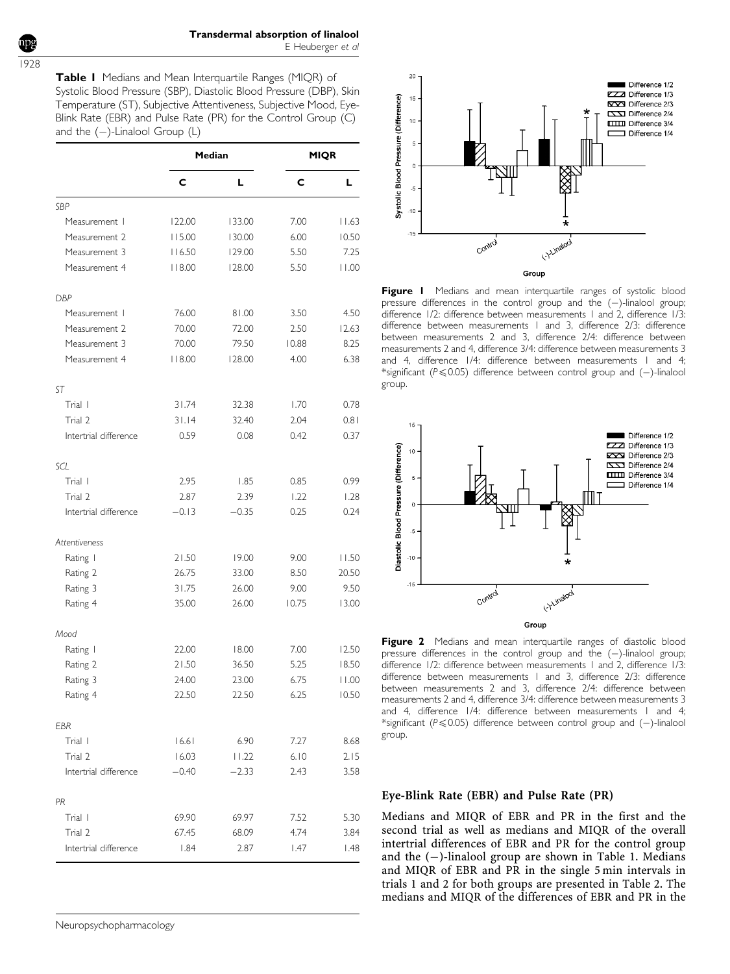1928

Table I Medians and Mean Interquartile Ranges (MIQR) of Systolic Blood Pressure (SBP), Diastolic Blood Pressure (DBP), Skin Temperature (ST), Subjective Attentiveness, Subjective Mood, Eye-Blink Rate (EBR) and Pulse Rate (PR) for the Control Group (C) and the  $(-)$ -Linalool Group (L)

|                       |         | Median  | <b>MIQR</b> |       |  |
|-----------------------|---------|---------|-------------|-------|--|
|                       | c       | L       | c           | L     |  |
| SBP                   |         |         |             |       |  |
| Measurement           | 122.00  | 133.00  | 7.00        | 11.63 |  |
| Measurement 2         | 115.00  | 130.00  | 6.00        | 10.50 |  |
| Measurement 3         | 116.50  | 129.00  | 5.50        | 7.25  |  |
| Measurement 4         | 118.00  | 128.00  | 5.50        | 11.00 |  |
| <b>DBP</b>            |         |         |             |       |  |
| Measurement           | 76.00   | 81.00   | 3.50        | 4.50  |  |
| Measurement 2         | 70.00   | 72.00   | 2.50        | 12.63 |  |
| Measurement 3         | 70.00   | 79.50   | 10.88       | 8.25  |  |
| Measurement 4         | 8.00    | 128.00  | 4.00        | 6.38  |  |
| <b>ST</b>             |         |         |             |       |  |
| Trial I               | 31.74   | 32.38   | 1.70        | 0.78  |  |
| Trial 2               | 31.14   | 32.40   | 2.04        | 0.81  |  |
| Intertrial difference | 0.59    | 0.08    | 0.42        | 0.37  |  |
| SCL                   |         |         |             |       |  |
| Trial I               | 2.95    | 1.85    | 0.85        | 0.99  |  |
| Trial 2               | 2.87    | 2.39    | 1.22        | 1.28  |  |
| Intertrial difference | $-0.13$ | $-0.35$ | 0.25        | 0.24  |  |
| Attentiveness         |         |         |             |       |  |
| Rating I              | 21.50   | 19.00   | 9.00        | 11.50 |  |
| Rating 2              | 26.75   | 33.00   | 8.50        | 20.50 |  |
| Rating 3              | 31.75   | 26.00   | 9.00        | 9.50  |  |
| Rating 4              | 35.00   | 26.00   | 10.75       | 13.00 |  |
| Mood                  |         |         |             |       |  |
| Rating I              | 22.00   | 18.00   | 7.00        | 12.50 |  |
| Rating 2              | 21.50   | 36.50   | 5.25        | 18.50 |  |
| Rating 3              | 24.00   | 23.00   | 6.75        | 11.00 |  |
| Rating 4              | 22.50   | 22.50   | 6.25        | 10.50 |  |
| EBR                   |         |         |             |       |  |
| Trial I               | 16.61   | 6.90    | 7.27        | 8.68  |  |
| Trial 2               | 16.03   | 11.22   | $6.10$      | 2.15  |  |
| Intertrial difference | $-0.40$ | $-2.33$ | 2.43        | 3.58  |  |
| PR                    |         |         |             |       |  |
| Trial I               | 69.90   | 69.97   | 7.52        | 5.30  |  |
| Trial 2               | 67.45   | 68.09   | 4.74        | 3.84  |  |
| Intertrial difference | 1.84    | 2.87    | 1.47        | 1.48  |  |



Figure I Medians and mean interquartile ranges of systolic blood pressure differences in the control group and the  $(-)$ -linalool group; difference 1/2: difference between measurements 1 and 2, difference 1/3: difference between measurements 1 and 3, difference 2/3: difference between measurements 2 and 3, difference 2/4: difference between measurements 2 and 4, difference 3/4: difference between measurements 3 and 4, difference 1/4: difference between measurements 1 and 4; \*significant ( $P \le 0.05$ ) difference between control group and (-)-linalool group.



Figure 2 Medians and mean interquartile ranges of diastolic blood pressure differences in the control group and the  $(-)$ -linalool group; difference 1/2: difference between measurements 1 and 2, difference 1/3: difference between measurements 1 and 3, difference 2/3: difference between measurements 2 and 3, difference 2/4: difference between measurements 2 and 4, difference 3/4: difference between measurements 3 and 4, difference 1/4: difference between measurements 1 and 4; \*significant ( $P \le 0.05$ ) difference between control group and (-)-linalool group.

# Eye-Blink Rate (EBR) and Pulse Rate (PR)

Medians and MIQR of EBR and PR in the first and the second trial as well as medians and MIQR of the overall intertrial differences of EBR and PR for the control group and the  $(-)$ -linalool group are shown in Table 1. Medians and MIQR of EBR and PR in the single 5 min intervals in trials 1 and 2 for both groups are presented in Table 2. The medians and MIQR of the differences of EBR and PR in the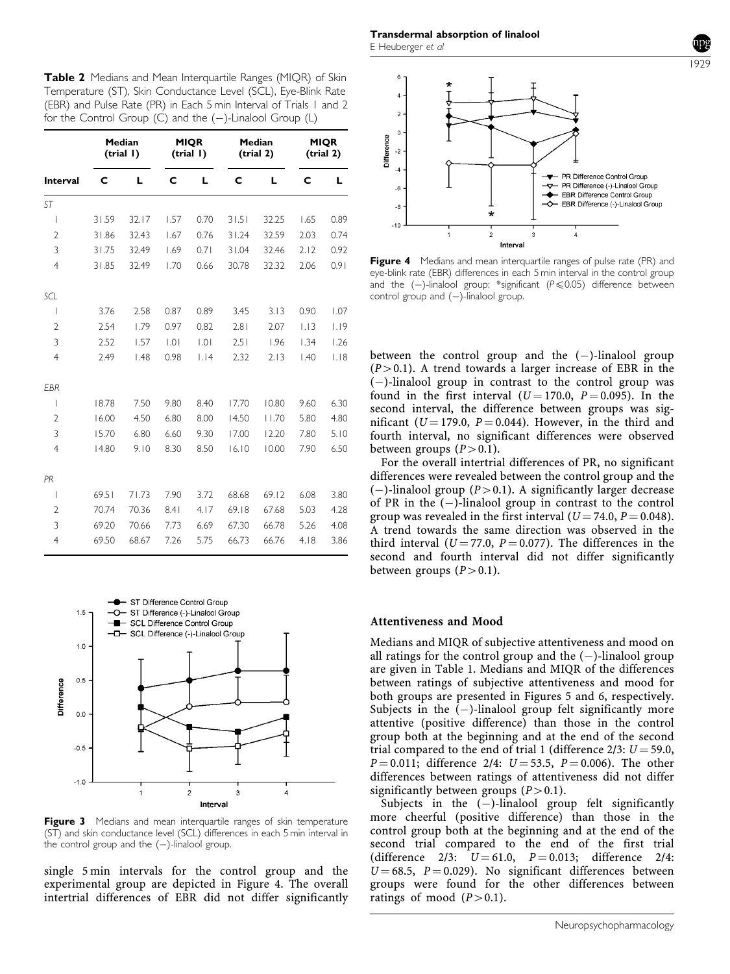Table 2 Medians and Mean Interguartile Ranges (MIOR) of Skin Temperature (ST), Skin Conductance Level (SCL), Eye-Blink Rate (EBR) and Pulse Rate (PR) in Each 5 min Interval of Trials 1 and 2 for the Control Group (C) and the  $(-)$ -Linalool Group (L)

|                 | Median<br>(trial I) |       | <b>MIQR</b><br>(trial I) |      | Median<br>(trial 2) |       | <b>MIQR</b><br>(trial 2) |      |
|-----------------|---------------------|-------|--------------------------|------|---------------------|-------|--------------------------|------|
| <b>Interval</b> | C                   | L     | C                        | L    | C                   | L     | C                        | L    |
| <b>ST</b>       |                     |       |                          |      |                     |       |                          |      |
| I               | 31.59               | 32.17 | 1.57                     | 0.70 | 31.51               | 32.25 | 1.65                     | 0.89 |
| $\overline{2}$  | 31.86               | 32.43 | 1.67                     | 0.76 | 31.24               | 32.59 | 2.03                     | 0.74 |
| 3               | 31.75               | 32.49 | 1.69                     | 0.71 | 31.04               | 32.46 | 2.12                     | 0.92 |
| $\overline{4}$  | 31.85               | 32.49 | 1.70                     | 0.66 | 30.78               | 32.32 | 2.06                     | 0.91 |
| SCL             |                     |       |                          |      |                     |       |                          |      |
| I               | 3.76                | 2.58  | 0.87                     | 0.89 | 3.45                | 3.13  | 0.90                     | 1.07 |
| $\overline{2}$  | 2.54                | 1.79  | 0.97                     | 0.82 | 2.81                | 2.07  | 1.13                     | 1.19 |
| 3               | 2.52                | 1.57  | .0                       | 0.1  | 2.51                | 1.96  | 1.34                     | 1.26 |
| $\overline{4}$  | 2.49                | 1.48  | 0.98                     | 1.14 | 2.32                | 2.13  | 1.40                     | 1.18 |
| EBR             |                     |       |                          |      |                     |       |                          |      |
| I               | 18.78               | 7.50  | 9.80                     | 8.40 | 17.70               | 10.80 | 9.60                     | 6.30 |
| 2               | 16.00               | 4.50  | 6.80                     | 8.00 | 14.50               | 11.70 | 5.80                     | 4.80 |
| 3               | 15.70               | 6.80  | 6.60                     | 9.30 | 17.00               | 12.20 | 7.80                     | 5.10 |
| $\overline{4}$  | 14.80               | 9.10  | 8.30                     | 8.50 | 16.10               | 10.00 | 7.90                     | 6.50 |
| PR              |                     |       |                          |      |                     |       |                          |      |
| I               | 69.51               | 71.73 | 7.90                     | 3.72 | 68.68               | 69.12 | 6.08                     | 3.80 |
| $\overline{2}$  | 70.74               | 70.36 | 8.41                     | 4.17 | 69.18               | 67.68 | 5.03                     | 4.28 |
| 3               | 69.20               | 70.66 | 7.73                     | 6.69 | 67.30               | 66.78 | 5.26                     | 4.08 |
| $\overline{4}$  | 69.50               | 68.67 | 7.26                     | 5.75 | 66.73               | 66.76 | 4.18                     | 3.86 |



Figure 3 Medians and mean interquartile ranges of skin temperature (ST) and skin conductance level (SCL) differences in each 5 min interval in the control group and the  $(-)$ -linalool group.

single 5 min intervals for the control group and the experimental group are depicted in Figure 4. The overall intertrial differences of EBR did not differ significantly



1929

Figure 4 Medians and mean interquartile ranges of pulse rate (PR) and eye-blink rate (EBR) differences in each 5 min interval in the control group and the  $(-)$ -linalool group; \*significant ( $P \le 0.05$ ) difference between control group and  $(-)$ -linalool group.

between the control group and the  $(-)$ -linalool group  $(P>0.1)$ . A trend towards a larger increase of EBR in the  $(-)$ -linalool group in contrast to the control group was found in the first interval  $(U = 170.0, P = 0.095)$ . In the second interval, the difference between groups was significant ( $U = 179.0$ ,  $P = 0.044$ ). However, in the third and fourth interval, no significant differences were observed between groups  $(P>0.1)$ .

For the overall intertrial differences of PR, no significant differences were revealed between the control group and the  $(-)$ -linalool group  $(P>0.1)$ . A significantly larger decrease of PR in the  $(-)$ -linalool group in contrast to the control group was revealed in the first interval ( $U = 74.0, P = 0.048$ ). A trend towards the same direction was observed in the third interval ( $U = 77.0$ ,  $P = 0.077$ ). The differences in the second and fourth interval did not differ significantly between groups  $(P>0.1)$ .

# Attentiveness and Mood

Medians and MIQR of subjective attentiveness and mood on all ratings for the control group and the  $(-)$ -linalool group are given in Table 1. Medians and MIQR of the differences between ratings of subjective attentiveness and mood for both groups are presented in Figures 5 and 6, respectively. Subjects in the  $(-)$ -linalool group felt significantly more attentive (positive difference) than those in the control group both at the beginning and at the end of the second trial compared to the end of trial 1 (difference  $2/3$ :  $U = 59.0$ ,  $P = 0.011$ ; difference 2/4:  $U = 53.5$ ,  $P = 0.006$ ). The other differences between ratings of attentiveness did not differ significantly between groups  $(P>0.1)$ .

Subjects in the  $(-)$ -linalool group felt significantly more cheerful (positive difference) than those in the control group both at the beginning and at the end of the second trial compared to the end of the first trial (difference  $2/3$ :  $U = 61.0$ ,  $P = 0.013$ ; difference  $2/4$ :  $U = 68.5$ ,  $P = 0.029$ ). No significant differences between groups were found for the other differences between ratings of mood  $(P>0.1)$ .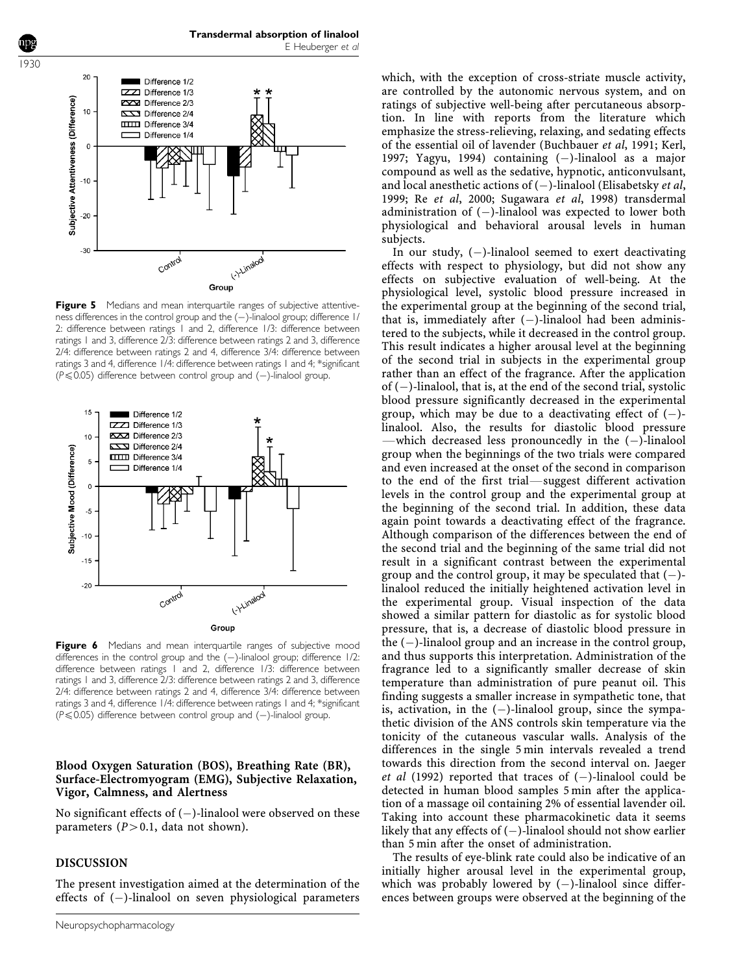

**Figure 5** Medians and mean interquartile ranges of subjective attentiveness differences in the control group and the  $(-)$ -linalool group; difference 1/ 2: difference between ratings 1 and 2, difference 1/3: difference between ratings 1 and 3, difference 2/3: difference between ratings 2 and 3, difference 2/4: difference between ratings 2 and 4, difference 3/4: difference between ratings 3 and 4, difference 1/4: difference between ratings 1 and 4; \*significant ( $P \le 0.05$ ) difference between control group and (-)-linalool group.



Figure 6 Medians and mean interquartile ranges of subjective mood differences in the control group and the  $(-)$ -linalool group; difference  $1/2$ : difference between ratings 1 and 2, difference 1/3: difference between ratings 1 and 3, difference 2/3: difference between ratings 2 and 3, difference 2/4: difference between ratings 2 and 4, difference 3/4: difference between ratings 3 and 4, difference 1/4: difference between ratings 1 and 4; \*significant  $(P \le 0.05)$  difference between control group and (-)-linalool group.

# Blood Oxygen Saturation (BOS), Breathing Rate (BR), Surface-Electromyogram (EMG), Subjective Relaxation, Vigor, Calmness, and Alertness

No significant effects of  $(-)$ -linalool were observed on these parameters  $(P>0.1$ , data not shown).

# DISCUSSION

The present investigation aimed at the determination of the effects of  $(-)$ -linalool on seven physiological parameters

which, with the exception of cross-striate muscle activity, are controlled by the autonomic nervous system, and on ratings of subjective well-being after percutaneous absorption. In line with reports from the literature which emphasize the stress-relieving, relaxing, and sedating effects of the essential oil of lavender (Buchbauer et al, 1991; Kerl, 1997; Yagyu, 1994) containing  $(-)$ -linalool as a major compound as well as the sedative, hypnotic, anticonvulsant, and local anesthetic actions of  $(-)$ -linalool (Elisabetsky *et al*, 1999; Re et al, 2000; Sugawara et al, 1998) transdermal administration of  $(-)$ -linalool was expected to lower both physiological and behavioral arousal levels in human subjects.

In our study,  $(-)$ -linalool seemed to exert deactivating effects with respect to physiology, but did not show any effects on subjective evaluation of well-being. At the physiological level, systolic blood pressure increased in the experimental group at the beginning of the second trial, that is, immediately after  $(-)$ -linalool had been administered to the subjects, while it decreased in the control group. This result indicates a higher arousal level at the beginning of the second trial in subjects in the experimental group rather than an effect of the fragrance. After the application of  $(-)$ -linalool, that is, at the end of the second trial, systolic blood pressure significantly decreased in the experimental group, which may be due to a deactivating effect of  $(-)$ linalool. Also, the results for diastolic blood pressure -which decreased less pronouncedly in the  $(-)$ -linalool group when the beginnings of the two trials were compared and even increased at the onset of the second in comparison to the end of the first trial—suggest different activation levels in the control group and the experimental group at the beginning of the second trial. In addition, these data again point towards a deactivating effect of the fragrance. Although comparison of the differences between the end of the second trial and the beginning of the same trial did not result in a significant contrast between the experimental group and the control group, it may be speculated that  $(-)$ linalool reduced the initially heightened activation level in the experimental group. Visual inspection of the data showed a similar pattern for diastolic as for systolic blood pressure, that is, a decrease of diastolic blood pressure in the  $(-)$ -linalool group and an increase in the control group, and thus supports this interpretation. Administration of the fragrance led to a significantly smaller decrease of skin temperature than administration of pure peanut oil. This finding suggests a smaller increase in sympathetic tone, that is, activation, in the  $(-)$ -linalool group, since the sympathetic division of the ANS controls skin temperature via the tonicity of the cutaneous vascular walls. Analysis of the differences in the single 5 min intervals revealed a trend towards this direction from the second interval on. Jaeger et al (1992) reported that traces of  $(-)$ -linalool could be detected in human blood samples 5 min after the application of a massage oil containing 2% of essential lavender oil. Taking into account these pharmacokinetic data it seems likely that any effects of  $(-)$ -linalool should not show earlier than 5 min after the onset of administration.

The results of eye-blink rate could also be indicative of an initially higher arousal level in the experimental group, which was probably lowered by  $(-)$ -linalool since differences between groups were observed at the beginning of the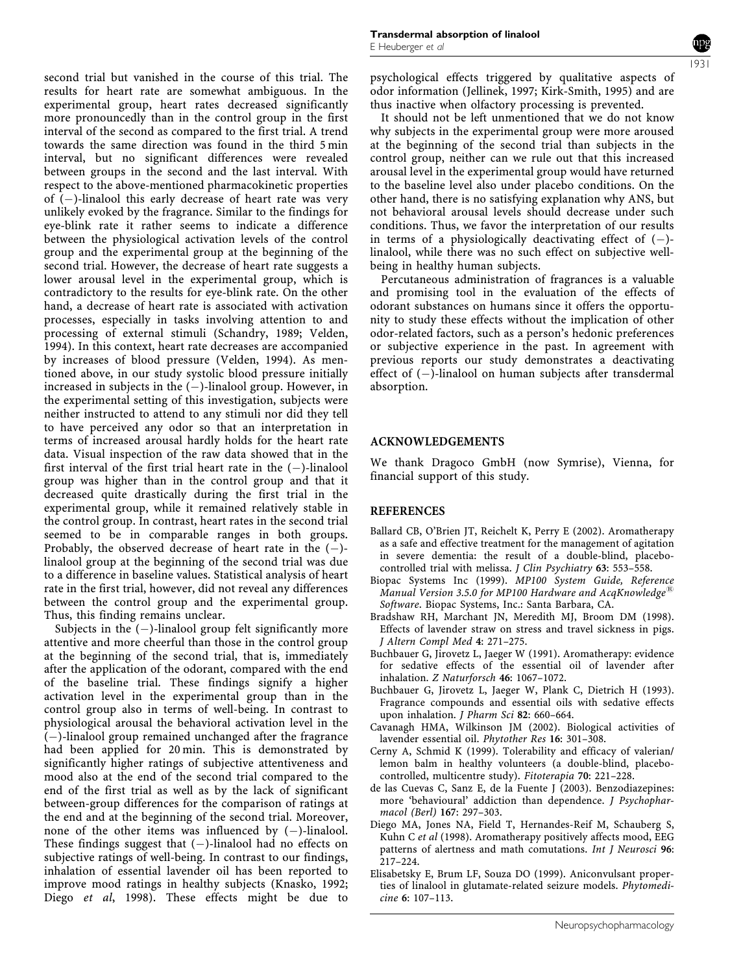second trial but vanished in the course of this trial. The results for heart rate are somewhat ambiguous. In the experimental group, heart rates decreased significantly more pronouncedly than in the control group in the first interval of the second as compared to the first trial. A trend towards the same direction was found in the third 5 min interval, but no significant differences were revealed between groups in the second and the last interval. With respect to the above-mentioned pharmacokinetic properties of  $(-)$ -linalool this early decrease of heart rate was very unlikely evoked by the fragrance. Similar to the findings for eye-blink rate it rather seems to indicate a difference between the physiological activation levels of the control group and the experimental group at the beginning of the second trial. However, the decrease of heart rate suggests a lower arousal level in the experimental group, which is contradictory to the results for eye-blink rate. On the other hand, a decrease of heart rate is associated with activation processes, especially in tasks involving attention to and processing of external stimuli (Schandry, 1989; Velden, 1994). In this context, heart rate decreases are accompanied by increases of blood pressure (Velden, 1994). As mentioned above, in our study systolic blood pressure initially increased in subjects in the  $(-)$ -linalool group. However, in the experimental setting of this investigation, subjects were neither instructed to attend to any stimuli nor did they tell to have perceived any odor so that an interpretation in terms of increased arousal hardly holds for the heart rate data. Visual inspection of the raw data showed that in the first interval of the first trial heart rate in the  $(-)$ -linalool group was higher than in the control group and that it decreased quite drastically during the first trial in the experimental group, while it remained relatively stable in the control group. In contrast, heart rates in the second trial seemed to be in comparable ranges in both groups. Probably, the observed decrease of heart rate in the  $(-)$ linalool group at the beginning of the second trial was due to a difference in baseline values. Statistical analysis of heart rate in the first trial, however, did not reveal any differences between the control group and the experimental group. Thus, this finding remains unclear.

Subjects in the  $(-)$ -linalool group felt significantly more attentive and more cheerful than those in the control group at the beginning of the second trial, that is, immediately after the application of the odorant, compared with the end of the baseline trial. These findings signify a higher activation level in the experimental group than in the control group also in terms of well-being. In contrast to physiological arousal the behavioral activation level in the  $(-)$ -linalool group remained unchanged after the fragrance had been applied for 20 min. This is demonstrated by significantly higher ratings of subjective attentiveness and mood also at the end of the second trial compared to the end of the first trial as well as by the lack of significant between-group differences for the comparison of ratings at the end and at the beginning of the second trial. Moreover, none of the other items was influenced by  $(-)$ -linalool. These findings suggest that  $(-)$ -linalool had no effects on subjective ratings of well-being. In contrast to our findings, inhalation of essential lavender oil has been reported to improve mood ratings in healthy subjects (Knasko, 1992; Diego et al, 1998). These effects might be due to

psychological effects triggered by qualitative aspects of odor information (Jellinek, 1997; Kirk-Smith, 1995) and are thus inactive when olfactory processing is prevented.

It should not be left unmentioned that we do not know why subjects in the experimental group were more aroused at the beginning of the second trial than subjects in the control group, neither can we rule out that this increased arousal level in the experimental group would have returned to the baseline level also under placebo conditions. On the other hand, there is no satisfying explanation why ANS, but not behavioral arousal levels should decrease under such conditions. Thus, we favor the interpretation of our results in terms of a physiologically deactivating effect of  $(-)$ linalool, while there was no such effect on subjective wellbeing in healthy human subjects.

Percutaneous administration of fragrances is a valuable and promising tool in the evaluation of the effects of odorant substances on humans since it offers the opportunity to study these effects without the implication of other odor-related factors, such as a person's hedonic preferences or subjective experience in the past. In agreement with previous reports our study demonstrates a deactivating effect of  $(-)$ -linalool on human subjects after transdermal absorption.

# ACKNOWLEDGEMENTS

We thank Dragoco GmbH (now Symrise), Vienna, for financial support of this study.

# **REFERENCES**

- Ballard CB, O'Brien JT, Reichelt K, Perry E (2002). Aromatherapy as a safe and effective treatment for the management of agitation in severe dementia: the result of a double-blind, placebocontrolled trial with melissa. *J Clin Psychiatry* 63: 553-558.
- Biopac Systems Inc (1999). MP100 System Guide, Reference Manual Version 3.5.0 for MP100 Hardware and AcqKnowledge<sup>®</sup> Software. Biopac Systems, Inc.: Santa Barbara, CA.
- Bradshaw RH, Marchant JN, Meredith MJ, Broom DM (1998). Effects of lavender straw on stress and travel sickness in pigs. J Altern Compl Med 4: 271–275.
- Buchbauer G, Jirovetz L, Jaeger W (1991). Aromatherapy: evidence for sedative effects of the essential oil of lavender after inhalation. Z Naturforsch 46: 1067–1072.
- Buchbauer G, Jirovetz L, Jaeger W, Plank C, Dietrich H (1993). Fragrance compounds and essential oils with sedative effects upon inhalation. J Pharm Sci 82: 660–664.
- Cavanagh HMA, Wilkinson JM (2002). Biological activities of lavender essential oil. Phytother Res 16: 301–308.
- Cerny A, Schmid K (1999). Tolerability and efficacy of valerian/ lemon balm in healthy volunteers (a double-blind, placebocontrolled, multicentre study). Fitoterapia 70: 221–228.
- de las Cuevas C, Sanz E, de la Fuente J (2003). Benzodiazepines: more 'behavioural' addiction than dependence. J Psychopharmacol (Berl) 167: 297–303.
- Diego MA, Jones NA, Field T, Hernandes-Reif M, Schauberg S, Kuhn C et al (1998). Aromatherapy positively affects mood, EEG patterns of alertness and math comutations. Int J Neurosci 96: 217–224.
- Elisabetsky E, Brum LF, Souza DO (1999). Aniconvulsant properties of linalool in glutamate-related seizure models. Phytomedicine 6: 107–113.